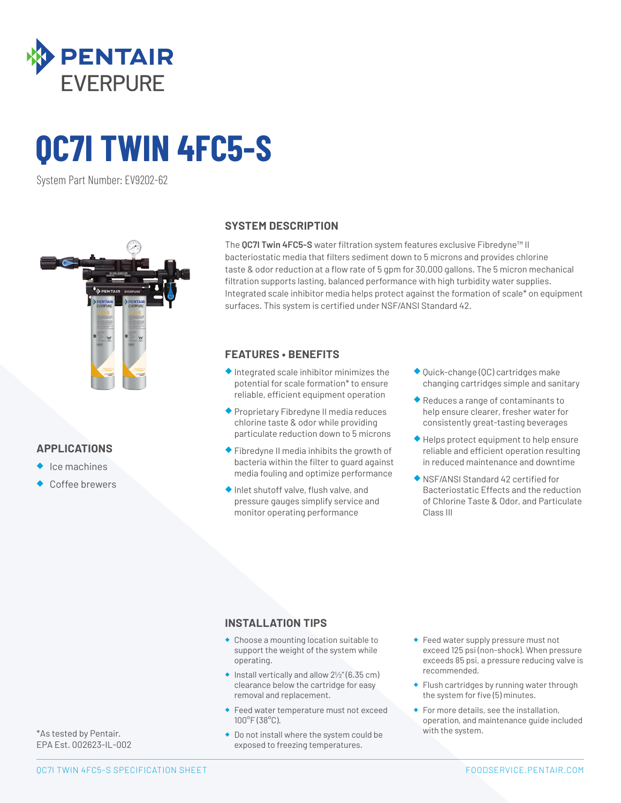

# **QC7I TWIN 4FC5-S**

System Part Number: EV9202-62



## **APPLICATIONS**

- ◆ Ice machines
- Coffee brewers

#### **SYSTEM DESCRIPTION**

The **QC7I Twin 4FC5-S** water filtration system features exclusive Fibredyne™ II bacteriostatic media that filters sediment down to 5 microns and provides chlorine taste & odor reduction at a flow rate of 5 gpm for 30,000 gallons. The 5 micron mechanical filtration supports lasting, balanced performance with high turbidity water supplies. Integrated scale inhibitor media helps protect against the formation of scale\* on equipment surfaces. This system is certified under NSF/ANSI Standard 42.

## **FEATURES • BENEFITS**

- ◆ Integrated scale inhibitor minimizes the potential for scale formation\* to ensure reliable, efficient equipment operation
- ◆ Proprietary Fibredyne II media reduces chlorine taste & odor while providing particulate reduction down to 5 microns
- ◆ Fibredyne II media inhibits the growth of bacteria within the filter to guard against media fouling and optimize performance
- ◆ Inlet shutoff valve, flush valve, and pressure gauges simplify service and monitor operating performance
- ◆ Quick-change (QC) cartridges make changing cartridges simple and sanitary
- ◆ Reduces a range of contaminants to help ensure clearer, fresher water for consistently great-tasting beverages
- ◆ Helps protect equipment to help ensure reliable and efficient operation resulting in reduced maintenance and downtime
- ◆ NSF/ANSI Standard 42 certified for Bacteriostatic Effects and the reduction of Chlorine Taste & Odor, and Particulate Class III

#### **INSTALLATION TIPS**

- ◆ Choose a mounting location suitable to support the weight of the system while operating.
- $\bullet$  Install vertically and allow  $2\frac{1}{2}$ " (6.35 cm) clearance below the cartridge for easy removal and replacement.
- ◆ Feed water temperature must not exceed 100°F (38°C).
- ◆ Do not install where the system could be exposed to freezing temperatures.
- ◆ Feed water supply pressure must not exceed 125 psi (non-shock). When pressure exceeds 85 psi, a pressure reducing valve is recommended.
- ◆ Flush cartridges by running water through the system for five (5) minutes.
- ◆ For more details, see the installation, operation, and maintenance guide included with the system.

\*As tested by Pentair. EPA Est. 002623-IL-002